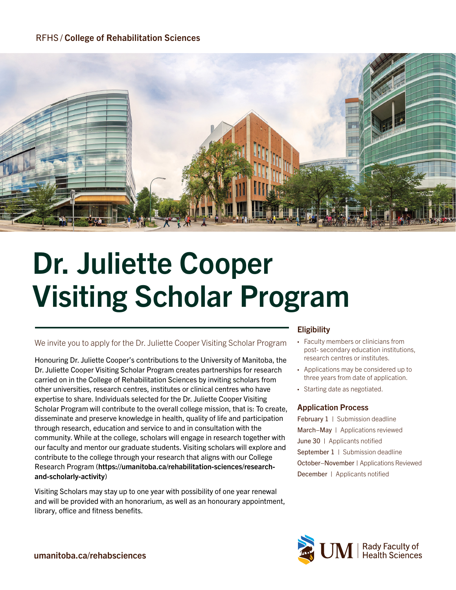# RFHS / College of Rehabilitation Sciences



# Dr. Juliette Cooper Visiting Scholar Program

#### We invite you to apply for the Dr. Juliette Cooper Visiting Scholar Program

Honouring Dr. Juliette Cooper's contributions to the University of Manitoba, the Dr. Juliette Cooper Visiting Scholar Program creates partnerships for research carried on in the College of Rehabilitation Sciences by inviting scholars from other universities, research centres, institutes or clinical centres who have expertise to share. Individuals selected for the Dr. Juliette Cooper Visiting Scholar Program will contribute to the overall college mission, that is: To create, disseminate and preserve knowledge in health, quality of life and participation through research, education and service to and in consultation with the community. While at the college, scholars will engage in research together with our faculty and mentor our graduate students. Visiting scholars will explore and contribute to the college through your research that aligns with our College Research Program (<https://umanitoba.ca/rehabilitation-sciences/research>and-scholarly-activity)

Visiting Scholars may stay up to one year with possibility of one year renewal and will be provided with an honorarium, as well as an honourary appointment, library, office and fitness benefits.

#### **Eligibility**

- Faculty members or clinicians from post- secondary education institutions, research centres or institutes.
- Applications may be considered up to three years from date of application.
- Starting date as negotiated.

#### Application Process

February 1 | Submission deadline March−May | Applications reviewed June 30 | Applicants notified September 1 | Submission deadline December | Applicants notified October−November | Applications Reviewed